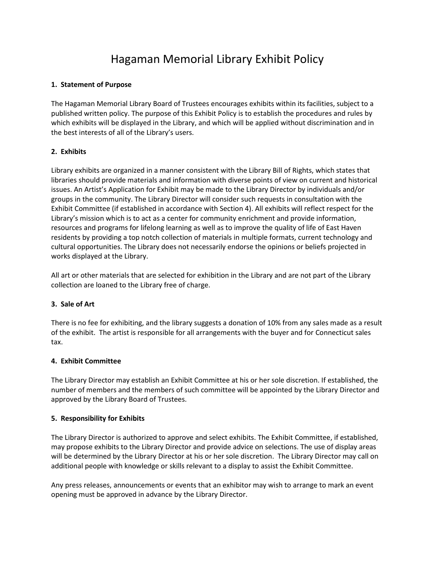# Hagaman Memorial Library Exhibit Policy

# **1. Statement of Purpose**

The Hagaman Memorial Library Board of Trustees encourages exhibits within its facilities, subject to a published written policy. The purpose of this Exhibit Policy is to establish the procedures and rules by which exhibits will be displayed in the Library, and which will be applied without discrimination and in the best interests of all of the Library's users.

# **2. Exhibits**

Library exhibits are organized in a manner consistent with the Library Bill of Rights, which states that libraries should provide materials and information with diverse points of view on current and historical issues. An Artist's Application for Exhibit may be made to the Library Director by individuals and/or groups in the community. The Library Director will consider such requests in consultation with the Exhibit Committee (if established in accordance with Section 4). All exhibits will reflect respect for the Library's mission which is to act as a center for community enrichment and provide information, resources and programs for lifelong learning as well as to improve the quality of life of East Haven residents by providing a top notch collection of materials in multiple formats, current technology and cultural opportunities. The Library does not necessarily endorse the opinions or beliefs projected in works displayed at the Library.

All art or other materials that are selected for exhibition in the Library and are not part of the Library collection are loaned to the Library free of charge.

# **3. Sale of Art**

There is no fee for exhibiting, and the library suggests a donation of 10% from any sales made as a result of the exhibit. The artist is responsible for all arrangements with the buyer and for Connecticut sales tax.

#### **4. Exhibit Committee**

The Library Director may establish an Exhibit Committee at his or her sole discretion. If established, the number of members and the members of such committee will be appointed by the Library Director and approved by the Library Board of Trustees.

#### **5. Responsibility for Exhibits**

The Library Director is authorized to approve and select exhibits. The Exhibit Committee, if established, may propose exhibits to the Library Director and provide advice on selections. The use of display areas will be determined by the Library Director at his or her sole discretion. The Library Director may call on additional people with knowledge or skills relevant to a display to assist the Exhibit Committee.

Any press releases, announcements or events that an exhibitor may wish to arrange to mark an event opening must be approved in advance by the Library Director.